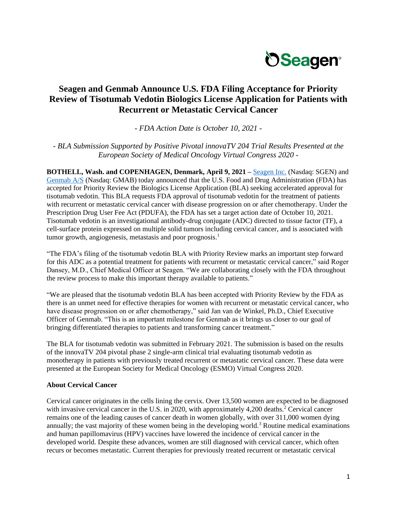

# **Seagen and Genmab Announce U.S. FDA Filing Acceptance for Priority Review of Tisotumab Vedotin Biologics License Application for Patients with Recurrent or Metastatic Cervical Cancer**

*- FDA Action Date is October 10, 2021 -*

*- BLA Submission Supported by Positive Pivotal innovaTV 204 Trial Results Presented at the European Society of Medical Oncology Virtual Congress 2020 -*

**BOTHELL, Wash. and COPENHAGEN, Denmark, April 9, 2021 –** [Seagen Inc.](http://www.seagen.com/) (Nasdaq: SGEN) and [Genmab A/S](https://www.genmab.com/) (Nasdaq: GMAB) today announced that the U.S. Food and Drug Administration (FDA) has accepted for Priority Review the Biologics License Application (BLA) seeking accelerated approval for tisotumab vedotin. This BLA requests FDA approval of tisotumab vedotin for the treatment of patients with recurrent or metastatic cervical cancer with disease progression on or after chemotherapy. Under the Prescription Drug User Fee Act (PDUFA), the FDA has set a target action date of October 10, 2021. Tisotumab vedotin is an investigational antibody-drug conjugate (ADC) directed to tissue factor (TF), a cell-surface protein expressed on multiple solid tumors including cervical cancer, and is associated with tumor growth, angiogenesis, metastasis and poor prognosis.<sup>1</sup>

"The FDA's filing of the tisotumab vedotin BLA with Priority Review marks an important step forward for this ADC as a potential treatment for patients with recurrent or metastatic cervical cancer," said Roger Dansey, M.D., Chief Medical Officer at Seagen. "We are collaborating closely with the FDA throughout the review process to make this important therapy available to patients."

"We are pleased that the tisotumab vedotin BLA has been accepted with Priority Review by the FDA as there is an unmet need for effective therapies for women with recurrent or metastatic cervical cancer, who have disease progression on or after chemotherapy," said Jan van de Winkel, Ph.D., Chief Executive Officer of Genmab. "This is an important milestone for Genmab as it brings us closer to our goal of bringing differentiated therapies to patients and transforming cancer treatment."

The BLA for tisotumab vedotin was submitted in February 2021. The submission is based on the results of the innovaTV 204 pivotal phase 2 single-arm clinical trial evaluating tisotumab vedotin as monotherapy in patients with previously treated recurrent or metastatic cervical cancer. These data were presented at the European Society for Medical Oncology (ESMO) Virtual Congress 2020.

## **About Cervical Cancer**

Cervical cancer originates in the cells lining the cervix. Over 13,500 women are expected to be diagnosed with invasive cervical cancer in the U.S. in 2020, with approximately 4,200 deaths.<sup>2</sup> Cervical cancer remains one of the leading causes of cancer death in women globally, with over 311,000 women dying annually; the vast majority of these women being in the developing world.<sup>3</sup> Routine medical examinations and human papillomavirus (HPV) vaccines have lowered the incidence of cervical cancer in the developed world. Despite these advances, women are still diagnosed with cervical cancer, which often recurs or becomes metastatic. Current therapies for previously treated recurrent or metastatic cervical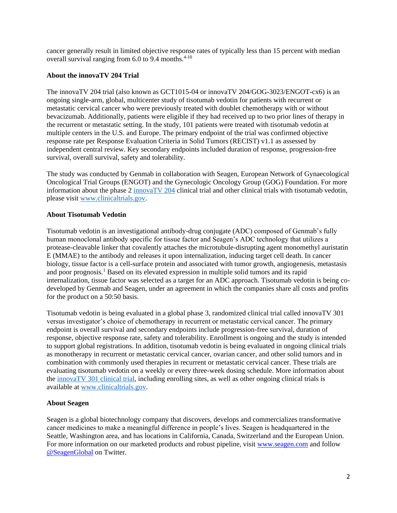cancer generally result in limited objective response rates of typically less than 15 percent with median overall survival ranging from  $6.0$  to 9.4 months.<sup>4-10</sup>

## **About the innovaTV 204 Trial**

The innovaTV 204 trial (also known as GCT1015-04 or innovaTV 204/GOG-3023/ENGOT-cx6) is an ongoing single-arm, global, multicenter study of tisotumab vedotin for patients with recurrent or metastatic cervical cancer who were previously treated with doublet chemotherapy with or without bevacizumab. Additionally, patients were eligible if they had received up to two prior lines of therapy in the recurrent or metastatic setting. In the study, 101 patients were treated with tisotumab vedotin at multiple centers in the U.S. and Europe. The primary endpoint of the trial was confirmed objective response rate per Response Evaluation Criteria in Solid Tumors (RECIST) v1.1 as assessed by independent central review. Key secondary endpoints included duration of response, progression-free survival, overall survival, safety and tolerability.

The study was conducted by Genmab in collaboration with Seagen, European Network of Gynaecological Oncological Trial Groups (ENGOT) and the Gynecologic Oncology Group (GOG) Foundation. For more information about the phase 2 [innovaTV 204](https://clinicaltrials.gov/ct2/show/NCT03438396?term=NCT03438396&rank=1https://clinicaltrials.gov/ct2/show/NCT03438396?term=NCT03438396&rank=1) clinical trial and other clinical trials with tisotumab vedotin, please visit [www.clinicaltrials.gov.](file:///C:/Users/tlarson/AppData/Local/Microsoft/Windows/INetCache/Content.Outlook/MTR7HIBB/www.clinicaltrials.gov)

## **About Tisotumab Vedotin**

Tisotumab vedotin is an investigational antibody-drug conjugate (ADC) composed of Genmab's fully human monoclonal antibody specific for tissue factor and Seagen's ADC technology that utilizes a protease-cleavable linker that covalently attaches the microtubule-disrupting agent monomethyl auristatin E (MMAE) to the antibody and releases it upon internalization, inducing target cell death. In cancer biology, tissue factor is a cell-surface protein and associated with tumor growth, angiogenesis, metastasis and poor prognosis.<sup>1</sup> Based on its elevated expression in multiple solid tumors and its rapid internalization, tissue factor was selected as a target for an ADC approach. Tisotumab vedotin is being codeveloped by Genmab and Seagen, under an agreement in which the companies share all costs and profits for the product on a 50:50 basis.

Tisotumab vedotin is being evaluated in a global phase 3, randomized clinical trial called innovaTV 301 versus investigator's choice of chemotherapy in recurrent or metastatic cervical cancer. The primary endpoint is overall survival and secondary endpoints include progression-free survival, duration of response, objective response rate, safety and tolerability. Enrollment is ongoing and the study is intended to support global registrations. In addition, tisotumab vedotin is being evaluated in ongoing clinical trials as monotherapy in recurrent or metastatic cervical cancer, ovarian cancer, and other solid tumors and in combination with commonly used therapies in recurrent or metastatic cervical cancer. These trials are evaluating tisotumab vedotin on a weekly or every three-week dosing schedule. More information about the [innovaTV 301 clinical trial,](https://www.clinicaltrials.gov/ct2/show/NCT04697628?term=tisotumab+vedotin&draw=2&rank=8) including enrolling sites, as well as other ongoing clinical trials is available at [www.clinicaltrials.gov.](file:///C:/Users/tlarson/AppData/Local/Microsoft/Windows/INetCache/Content.Outlook/MTR7HIBB/www.clinicaltrials.gov)

## **About Seagen**

Seagen is a global biotechnology company that discovers, develops and commercializes transformative cancer medicines to make a meaningful difference in people's lives. Seagen is headquartered in the Seattle, Washington area, and has locations in California, Canada, Switzerland and the European Union. For more information on our marketed products and robust pipeline, visit [www.seagen.com](http://www.seagen.com/) and follow [@SeagenGlobal](https://twitter.com/SeagenGlobal) on Twitter.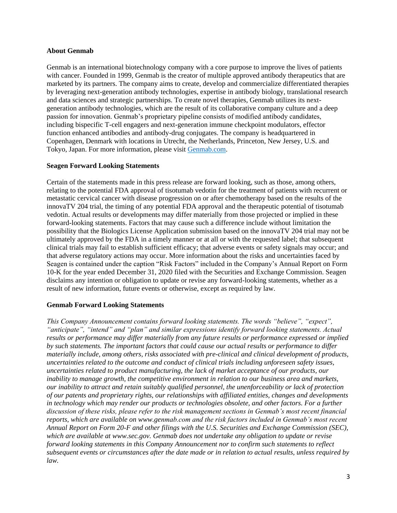#### **About Genmab**

Genmab is an international biotechnology company with a core purpose to improve the lives of patients with cancer. Founded in 1999, Genmab is the creator of multiple approved antibody therapeutics that are marketed by its partners. The company aims to create, develop and commercialize differentiated therapies by leveraging next-generation antibody technologies, expertise in antibody biology, translational research and data sciences and strategic partnerships. To create novel therapies, Genmab utilizes its nextgeneration antibody technologies, which are the result of its collaborative company culture and a deep passion for innovation. Genmab's proprietary pipeline consists of modified antibody candidates, including bispecific T-cell engagers and next-generation immune checkpoint modulators, effector function enhanced antibodies and antibody-drug conjugates. The company is headquartered in Copenhagen, Denmark with locations in Utrecht, the Netherlands, Princeton, New Jersey, U.S. and Tokyo, Japan. For more information, please visit [Genmab.com.](https://www.genmab.com/)

## **Seagen Forward Looking Statements**

Certain of the statements made in this press release are forward looking, such as those, among others, relating to the potential FDA approval of tisotumab vedotin for the treatment of patients with recurrent or metastatic cervical cancer with disease progression on or after chemotherapy based on the results of the innovaTV 204 trial, the timing of any potential FDA approval and the therapeutic potential of tisotumab vedotin. Actual results or developments may differ materially from those projected or implied in these forward-looking statements. Factors that may cause such a difference include without limitation the possibility that the Biologics License Application submission based on the innovaTV 204 trial may not be ultimately approved by the FDA in a timely manner or at all or with the requested label; that subsequent clinical trials may fail to establish sufficient efficacy; that adverse events or safety signals may occur; and that adverse regulatory actions may occur. More information about the risks and uncertainties faced by Seagen is contained under the caption "Risk Factors" included in the Company's Annual Report on Form 10-K for the year ended December 31, 2020 filed with the Securities and Exchange Commission. Seagen disclaims any intention or obligation to update or revise any forward-looking statements, whether as a result of new information, future events or otherwise, except as required by law.

## **Genmab Forward Looking Statements**

*This Company Announcement contains forward looking statements. The words "believe", "expect", "anticipate", "intend" and "plan" and similar expressions identify forward looking statements. Actual results or performance may differ materially from any future results or performance expressed or implied by such statements. The important factors that could cause our actual results or performance to differ materially include, among others, risks associated with pre-clinical and clinical development of products, uncertainties related to the outcome and conduct of clinical trials including unforeseen safety issues, uncertainties related to product manufacturing, the lack of market acceptance of our products, our inability to manage growth, the competitive environment in relation to our business area and markets, our inability to attract and retain suitably qualified personnel, the unenforceability or lack of protection of our patents and proprietary rights, our relationships with affiliated entities, changes and developments in technology which may render our products or technologies obsolete, and other factors. For a further discussion of these risks, please refer to the risk management sections in Genmab's most recent financial reports, which are available on www.genmab.com and the risk factors included in Genmab's most recent Annual Report on Form 20-F and other filings with the U.S. Securities and Exchange Commission (SEC), which are available at www.sec.gov. Genmab does not undertake any obligation to update or revise forward looking statements in this Company Announcement nor to confirm such statements to reflect subsequent events or circumstances after the date made or in relation to actual results, unless required by law.*